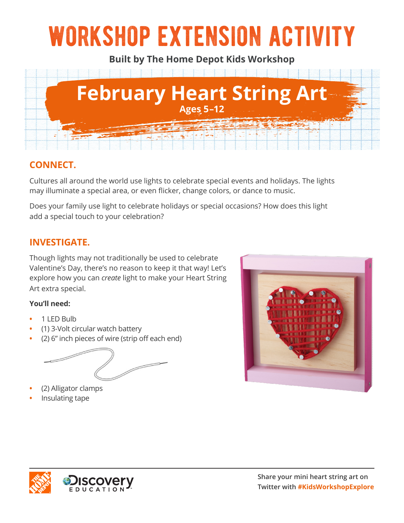# workshop extension activity

**Built by The Home Depot Kids Workshop**



## **CONNECT.**

Cultures all around the world use lights to celebrate special events and holidays. The lights may illuminate a special area, or even flicker, change colors, or dance to music.

Does your family use light to celebrate holidays or special occasions? How does this light add a special touch to your celebration?

## **INVESTIGATE.**

Though lights may not traditionally be used to celebrate Valentine's Day, there's no reason to keep it that way! Let's explore how you can *create* light to make your Heart String Art extra special.

#### **You'll need:**

- **•** 1 LED Bulb
- **•** (1) 3-Volt circular watch battery
- **•** (2) 6" inch pieces of wire (strip off each end)



- **•** (2) Alligator clamps
- **•** Insulating tape